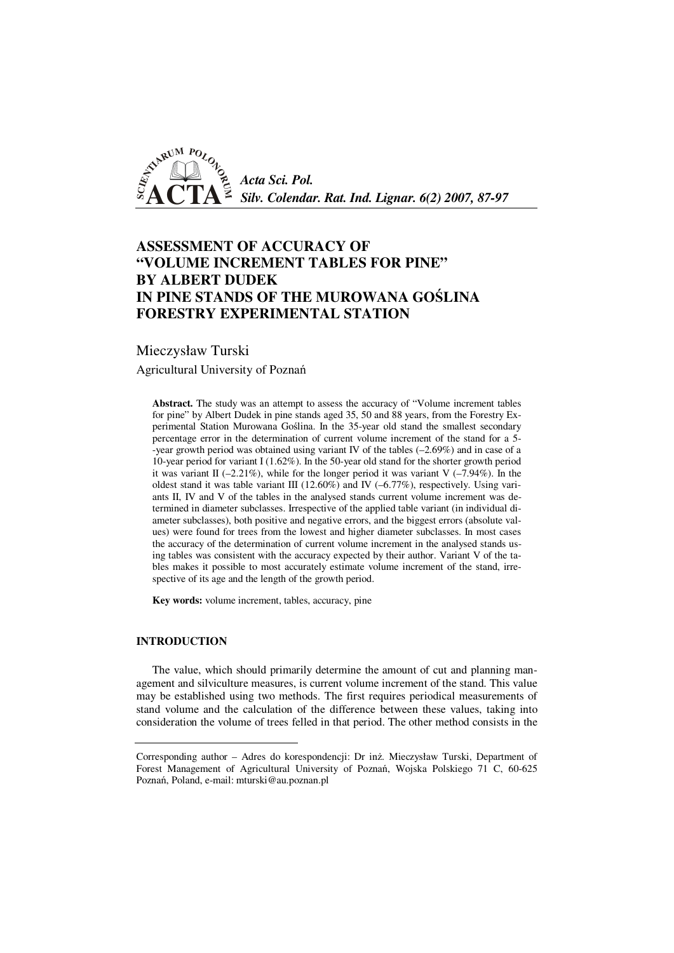

# **ASSESSMENT OF ACCURACY OF "VOLUME INCREMENT TABLES FOR PINE" BY ALBERT DUDEK IN PINE STANDS OF THE MUROWANA GO**Ś**LINA FORESTRY EXPERIMENTAL STATION**

## Mieczysław Turski

Agricultural University of Poznań

**Abstract.** The study was an attempt to assess the accuracy of "Volume increment tables for pine" by Albert Dudek in pine stands aged 35, 50 and 88 years, from the Forestry Experimental Station Murowana Goślina. In the 35-year old stand the smallest secondary percentage error in the determination of current volume increment of the stand for a 5- -year growth period was obtained using variant IV of the tables (–2.69%) and in case of a 10-year period for variant I (1.62%). In the 50-year old stand for the shorter growth period it was variant II ( $-2.21\%$ ), while for the longer period it was variant V ( $-7.94\%$ ). In the oldest stand it was table variant III (12.60%) and IV (–6.77%), respectively. Using variants II, IV and V of the tables in the analysed stands current volume increment was determined in diameter subclasses. Irrespective of the applied table variant (in individual diameter subclasses), both positive and negative errors, and the biggest errors (absolute values) were found for trees from the lowest and higher diameter subclasses. In most cases the accuracy of the determination of current volume increment in the analysed stands using tables was consistent with the accuracy expected by their author. Variant V of the tables makes it possible to most accurately estimate volume increment of the stand, irrespective of its age and the length of the growth period.

**Key words:** volume increment, tables, accuracy, pine

## **INTRODUCTION**

The value, which should primarily determine the amount of cut and planning management and silviculture measures, is current volume increment of the stand. This value may be established using two methods. The first requires periodical measurements of stand volume and the calculation of the difference between these values, taking into consideration the volume of trees felled in that period. The other method consists in the

Corresponding author – Adres do korespondencji: Dr inż. Mieczysław Turski, Department of Forest Management of Agricultural University of Poznań, Wojska Polskiego 71 C, 60-625 Poznań, Poland, e-mail: mturski@au.poznan.pl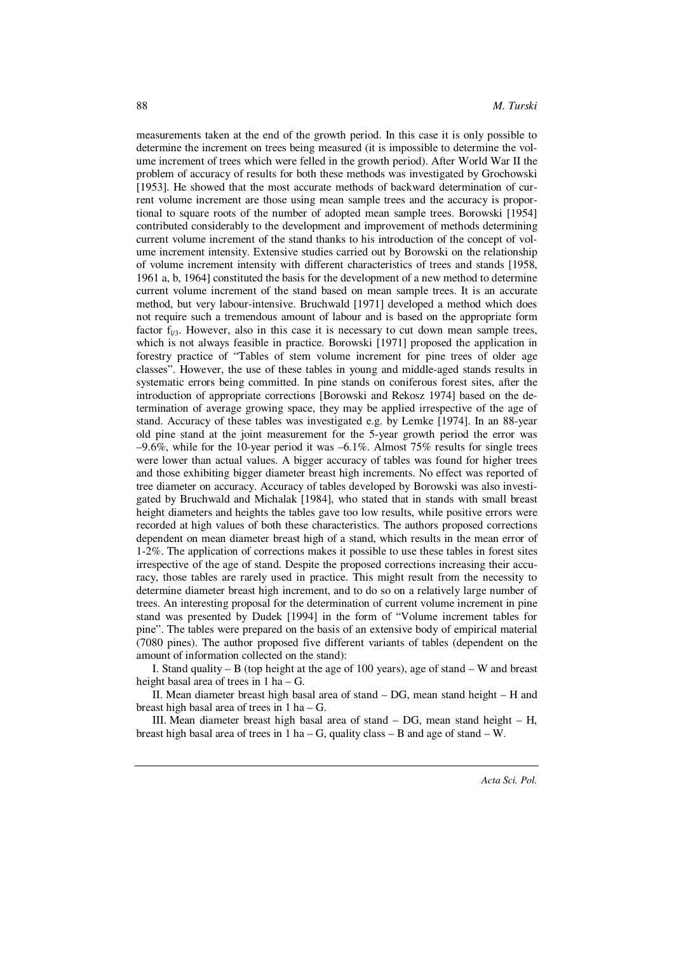measurements taken at the end of the growth period. In this case it is only possible to determine the increment on trees being measured (it is impossible to determine the volume increment of trees which were felled in the growth period). After World War II the problem of accuracy of results for both these methods was investigated by Grochowski [1953]. He showed that the most accurate methods of backward determination of current volume increment are those using mean sample trees and the accuracy is proportional to square roots of the number of adopted mean sample trees. Borowski [1954] contributed considerably to the development and improvement of methods determining current volume increment of the stand thanks to his introduction of the concept of volume increment intensity. Extensive studies carried out by Borowski on the relationship of volume increment intensity with different characteristics of trees and stands [1958, 1961 a, b, 1964] constituted the basis for the development of a new method to determine current volume increment of the stand based on mean sample trees. It is an accurate method, but very labour-intensive. Bruchwald [1971] developed a method which does not require such a tremendous amount of labour and is based on the appropriate form factor  $f_{1/3}$ . However, also in this case it is necessary to cut down mean sample trees, which is not always feasible in practice. Borowski [1971] proposed the application in forestry practice of "Tables of stem volume increment for pine trees of older age classes". However, the use of these tables in young and middle-aged stands results in systematic errors being committed. In pine stands on coniferous forest sites, after the introduction of appropriate corrections [Borowski and Rekosz 1974] based on the determination of average growing space, they may be applied irrespective of the age of stand. Accuracy of these tables was investigated e.g. by Lemke [1974]. In an 88-year old pine stand at the joint measurement for the 5-year growth period the error was  $-9.6\%$ , while for the 10-year period it was  $-6.1\%$ . Almost 75% results for single trees were lower than actual values. A bigger accuracy of tables was found for higher trees and those exhibiting bigger diameter breast high increments. No effect was reported of tree diameter on accuracy. Accuracy of tables developed by Borowski was also investigated by Bruchwald and Michalak [1984], who stated that in stands with small breast height diameters and heights the tables gave too low results, while positive errors were recorded at high values of both these characteristics. The authors proposed corrections dependent on mean diameter breast high of a stand, which results in the mean error of 1-2%. The application of corrections makes it possible to use these tables in forest sites irrespective of the age of stand. Despite the proposed corrections increasing their accuracy, those tables are rarely used in practice. This might result from the necessity to determine diameter breast high increment, and to do so on a relatively large number of trees. An interesting proposal for the determination of current volume increment in pine stand was presented by Dudek [1994] in the form of "Volume increment tables for pine". The tables were prepared on the basis of an extensive body of empirical material (7080 pines). The author proposed five different variants of tables (dependent on the amount of information collected on the stand):

I. Stand quality – B (top height at the age of 100 years), age of stand – W and breast height basal area of trees in 1 ha – G.

II. Mean diameter breast high basal area of stand – DG, mean stand height – H and breast high basal area of trees in 1 ha – G.

III. Mean diameter breast high basal area of stand – DG, mean stand height – H, breast high basal area of trees in 1 ha – G, quality class – B and age of stand – W.

*Acta Sci. Pol.*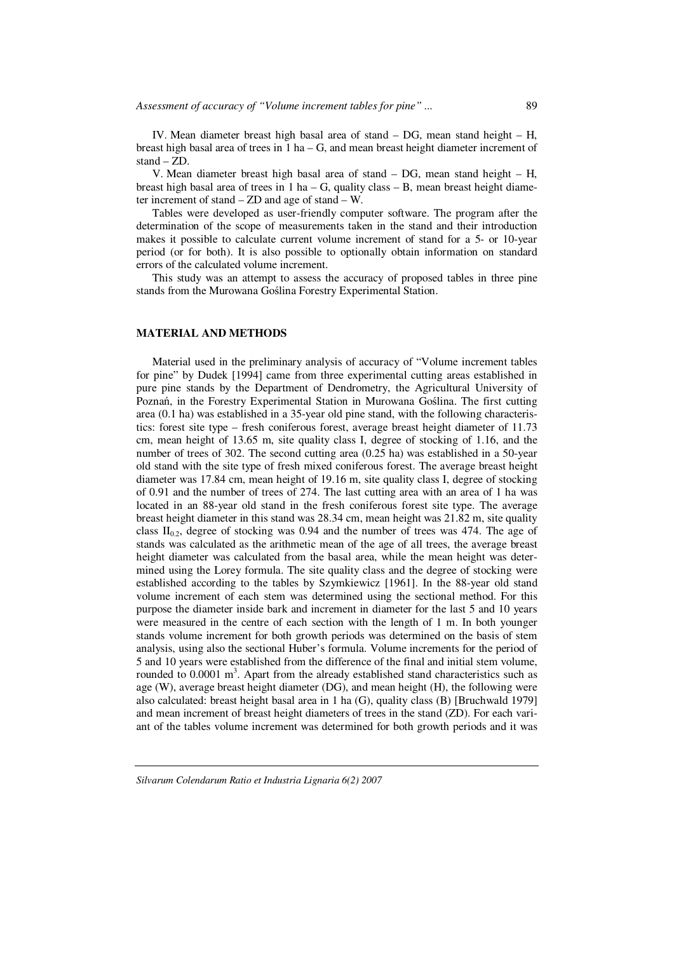IV. Mean diameter breast high basal area of stand – DG, mean stand height – H, breast high basal area of trees in  $1$  ha  $-$  G, and mean breast height diameter increment of stand – ZD.

V. Mean diameter breast high basal area of stand – DG, mean stand height – H, breast high basal area of trees in  $1$  ha  $-$  G, quality class  $-$  B, mean breast height diameter increment of stand – ZD and age of stand – W.

Tables were developed as user-friendly computer software. The program after the determination of the scope of measurements taken in the stand and their introduction makes it possible to calculate current volume increment of stand for a 5- or 10-year period (or for both). It is also possible to optionally obtain information on standard errors of the calculated volume increment.

This study was an attempt to assess the accuracy of proposed tables in three pine stands from the Murowana Goślina Forestry Experimental Station.

#### **MATERIAL AND METHODS**

Material used in the preliminary analysis of accuracy of "Volume increment tables for pine" by Dudek [1994] came from three experimental cutting areas established in pure pine stands by the Department of Dendrometry, the Agricultural University of Poznań, in the Forestry Experimental Station in Murowana Goślina. The first cutting area (0.1 ha) was established in a 35-year old pine stand, with the following characteristics: forest site type – fresh coniferous forest, average breast height diameter of 11.73 cm, mean height of 13.65 m, site quality class I, degree of stocking of 1.16, and the number of trees of 302. The second cutting area (0.25 ha) was established in a 50-year old stand with the site type of fresh mixed coniferous forest. The average breast height diameter was 17.84 cm, mean height of 19.16 m, site quality class I, degree of stocking of 0.91 and the number of trees of 274. The last cutting area with an area of 1 ha was located in an 88-year old stand in the fresh coniferous forest site type. The average breast height diameter in this stand was 28.34 cm, mean height was 21.82 m, site quality class  $II<sub>0.2</sub>$ , degree of stocking was 0.94 and the number of trees was 474. The age of stands was calculated as the arithmetic mean of the age of all trees, the average breast height diameter was calculated from the basal area, while the mean height was determined using the Lorey formula. The site quality class and the degree of stocking were established according to the tables by Szymkiewicz [1961]. In the 88-year old stand volume increment of each stem was determined using the sectional method. For this purpose the diameter inside bark and increment in diameter for the last 5 and 10 years were measured in the centre of each section with the length of 1 m. In both younger stands volume increment for both growth periods was determined on the basis of stem analysis, using also the sectional Huber's formula. Volume increments for the period of 5 and 10 years were established from the difference of the final and initial stem volume, rounded to  $0.0001 \text{ m}^3$ . Apart from the already established stand characteristics such as age (W), average breast height diameter (DG), and mean height (H), the following were also calculated: breast height basal area in 1 ha (G), quality class (B) [Bruchwald 1979] and mean increment of breast height diameters of trees in the stand (ZD). For each variant of the tables volume increment was determined for both growth periods and it was

*Silvarum Colendarum Ratio et Industria Lignaria 6(2) 2007*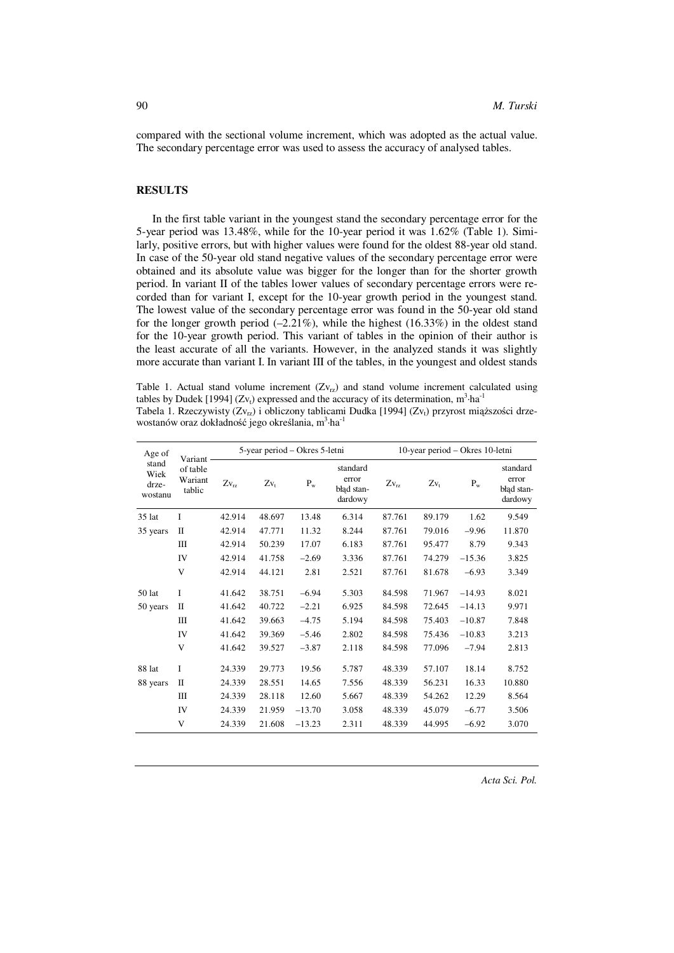compared with the sectional volume increment, which was adopted as the actual value. The secondary percentage error was used to assess the accuracy of analysed tables.

### **RESULTS**

In the first table variant in the youngest stand the secondary percentage error for the 5-year period was 13.48%, while for the 10-year period it was 1.62% (Table 1). Similarly, positive errors, but with higher values were found for the oldest 88-year old stand. In case of the 50-year old stand negative values of the secondary percentage error were obtained and its absolute value was bigger for the longer than for the shorter growth period. In variant II of the tables lower values of secondary percentage errors were recorded than for variant I, except for the 10-year growth period in the youngest stand. The lowest value of the secondary percentage error was found in the 50-year old stand for the longer growth period  $(-2.21\%)$ , while the highest  $(16.33\%)$  in the oldest stand for the 10-year growth period. This variant of tables in the opinion of their author is the least accurate of all the variants. However, in the analyzed stands it was slightly more accurate than variant I. In variant III of the tables, in the youngest and oldest stands

Table 1. Actual stand volume increment  $(Zv_{\tau z})$  and stand volume increment calculated using tables by Dudek [1994] (Zv<sub>t</sub>) expressed and the accuracy of its determination, m<sup>3</sup>·ha<sup>-1</sup> Tabela 1. Rzeczywisty (Zv<sub>rz</sub>) i obliczony tablicami Dudka [1994] (Zv<sub>t</sub>) przyrost miąższości drzewostanów oraz dokładność jego określania, m<sup>3</sup>·ha<sup>-1</sup>

| Age of<br>stand<br>Wiek<br>drze-<br>wostanu | Variant<br>of table<br>Wariant<br>tablic | 5-year period – Okres 5-letni |        |          |                                            | 10-year period - Okres 10-letni |        |          |                                            |
|---------------------------------------------|------------------------------------------|-------------------------------|--------|----------|--------------------------------------------|---------------------------------|--------|----------|--------------------------------------------|
|                                             |                                          | $Zv_{\rm rz}$                 | $Zv_t$ | $P_{w}$  | standard<br>error<br>bład stan-<br>dardowy | $Zv_{rz}$                       | $Zv_t$ | $P_{w}$  | standard<br>error<br>bład stan-<br>dardowy |
| $35$ lat                                    | I                                        | 42.914                        | 48.697 | 13.48    | 6.314                                      | 87.761                          | 89.179 | 1.62     | 9.549                                      |
| 35 years                                    | П                                        | 42.914                        | 47.771 | 11.32    | 8.244                                      | 87.761                          | 79.016 | $-9.96$  | 11.870                                     |
|                                             | Ш                                        | 42.914                        | 50.239 | 17.07    | 6.183                                      | 87.761                          | 95.477 | 8.79     | 9.343                                      |
|                                             | IV                                       | 42.914                        | 41.758 | $-2.69$  | 3.336                                      | 87.761                          | 74.279 | $-15.36$ | 3.825                                      |
|                                             | V                                        | 42.914                        | 44.121 | 2.81     | 2.521                                      | 87.761                          | 81.678 | $-6.93$  | 3.349                                      |
| 50 lat                                      | I                                        | 41.642                        | 38.751 | $-6.94$  | 5.303                                      | 84.598                          | 71.967 | $-14.93$ | 8.021                                      |
| 50 years                                    | П                                        | 41.642                        | 40.722 | $-2.21$  | 6.925                                      | 84.598                          | 72.645 | $-14.13$ | 9.971                                      |
|                                             | Ш                                        | 41.642                        | 39.663 | $-4.75$  | 5.194                                      | 84.598                          | 75.403 | $-10.87$ | 7.848                                      |
|                                             | IV                                       | 41.642                        | 39.369 | $-5.46$  | 2.802                                      | 84.598                          | 75.436 | $-10.83$ | 3.213                                      |
|                                             | V                                        | 41.642                        | 39.527 | $-3.87$  | 2.118                                      | 84.598                          | 77.096 | $-7.94$  | 2.813                                      |
| 88 lat                                      | I                                        | 24.339                        | 29.773 | 19.56    | 5.787                                      | 48.339                          | 57.107 | 18.14    | 8.752                                      |
| 88 years                                    | П                                        | 24.339                        | 28.551 | 14.65    | 7.556                                      | 48.339                          | 56.231 | 16.33    | 10.880                                     |
|                                             | Ш                                        | 24.339                        | 28.118 | 12.60    | 5.667                                      | 48.339                          | 54.262 | 12.29    | 8.564                                      |
|                                             | IV                                       | 24.339                        | 21.959 | $-13.70$ | 3.058                                      | 48.339                          | 45.079 | $-6.77$  | 3.506                                      |
|                                             | V                                        | 24.339                        | 21.608 | $-13.23$ | 2.311                                      | 48.339                          | 44.995 | $-6.92$  | 3.070                                      |

*Acta Sci. Pol.*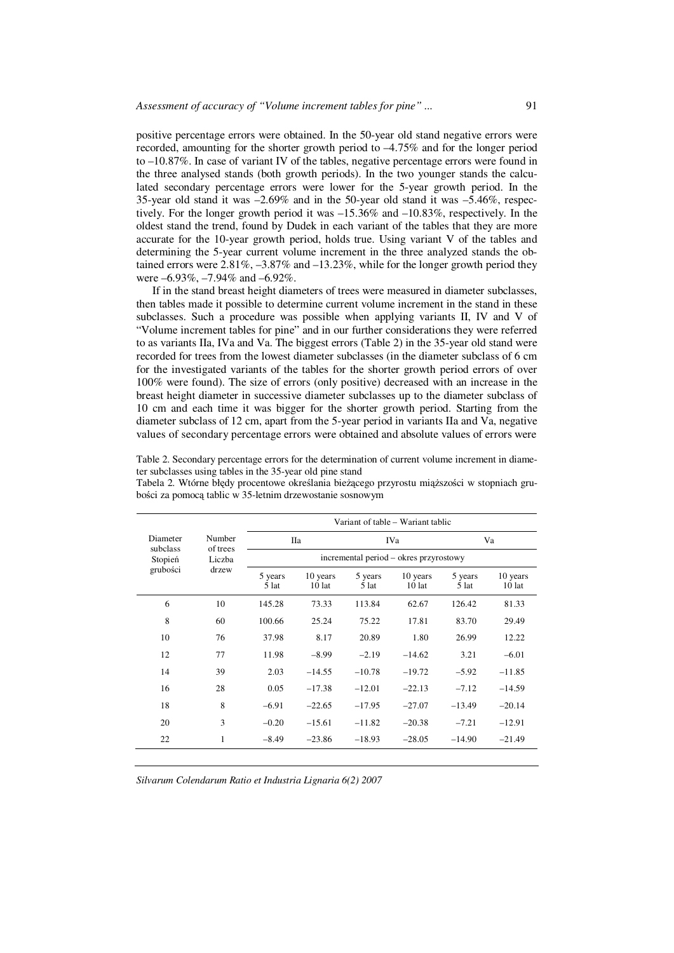positive percentage errors were obtained. In the 50-year old stand negative errors were recorded, amounting for the shorter growth period to –4.75% and for the longer period to –10.87%. In case of variant IV of the tables, negative percentage errors were found in the three analysed stands (both growth periods). In the two younger stands the calculated secondary percentage errors were lower for the 5-year growth period. In the 35-year old stand it was  $-2.69\%$  and in the 50-year old stand it was  $-5.46\%$ , respectively. For the longer growth period it was –15.36% and –10.83%, respectively. In the oldest stand the trend, found by Dudek in each variant of the tables that they are more accurate for the 10-year growth period, holds true. Using variant V of the tables and determining the 5-year current volume increment in the three analyzed stands the obtained errors were 2.81%, –3.87% and –13.23%, while for the longer growth period they were –6.93%, –7.94% and –6.92%.

If in the stand breast height diameters of trees were measured in diameter subclasses, then tables made it possible to determine current volume increment in the stand in these subclasses. Such a procedure was possible when applying variants II, IV and V of "Volume increment tables for pine" and in our further considerations they were referred to as variants IIa, IVa and Va. The biggest errors (Table 2) in the 35-year old stand were recorded for trees from the lowest diameter subclasses (in the diameter subclass of 6 cm for the investigated variants of the tables for the shorter growth period errors of over 100% were found). The size of errors (only positive) decreased with an increase in the breast height diameter in successive diameter subclasses up to the diameter subclass of 10 cm and each time it was bigger for the shorter growth period. Starting from the diameter subclass of 12 cm, apart from the 5-year period in variants IIa and Va, negative values of secondary percentage errors were obtained and absolute values of errors were

Table 2. Secondary percentage errors for the determination of current volume increment in diameter subclasses using tables in the 35-year old pine stand

|                      | Number<br>of trees<br>Liczba<br>drzew | Variant of table – Wariant tablic      |                      |                  |                      |                    |                      |  |  |
|----------------------|---------------------------------------|----------------------------------------|----------------------|------------------|----------------------|--------------------|----------------------|--|--|
| Diameter<br>subclass |                                       | Пa                                     |                      | <b>IVa</b>       |                      | Va                 |                      |  |  |
| Stopień              |                                       | incremental period – okres przyrostowy |                      |                  |                      |                    |                      |  |  |
| grubości             |                                       | 5 years<br>$5$ lat                     | 10 years<br>$10$ lat | 5 years<br>5 lat | 10 years<br>$10$ lat | 5 years<br>$5$ lat | 10 years<br>$10$ lat |  |  |
| 6                    | 10                                    | 145.28                                 | 73.33                | 113.84           | 62.67                | 126.42             | 81.33                |  |  |
| 8                    | 60                                    | 100.66                                 | 25.24                | 75.22            | 17.81                | 83.70              | 29.49                |  |  |
| 10                   | 76                                    | 37.98                                  | 8.17                 | 20.89            | 1.80                 | 26.99              | 12.22                |  |  |
| 12                   | 77                                    | 11.98                                  | $-8.99$              | $-2.19$          | $-14.62$             | 3.21               | $-6.01$              |  |  |
| 14                   | 39                                    | 2.03                                   | $-14.55$             | $-10.78$         | $-19.72$             | $-5.92$            | $-11.85$             |  |  |
| 16                   | 28                                    | 0.05                                   | $-17.38$             | $-12.01$         | $-22.13$             | $-7.12$            | $-14.59$             |  |  |
| 18                   | 8                                     | $-6.91$                                | $-22.65$             | $-17.95$         | $-27.07$             | $-13.49$           | $-20.14$             |  |  |
| 20                   | 3                                     | $-0.20$                                | $-15.61$             | $-11.82$         | $-20.38$             | $-7.21$            | $-12.91$             |  |  |
| 22                   | $\mathbf{1}$                          | $-8.49$                                | $-23.86$             | $-18.93$         | $-28.05$             | $-14.90$           | $-21.49$             |  |  |

Tabela 2. Wtórne błędy procentowe określania bieżącego przyrostu miąższości w stopniach grubości za pomocą tablic w 35-letnim drzewostanie sosnowym

*Silvarum Colendarum Ratio et Industria Lignaria 6(2) 2007*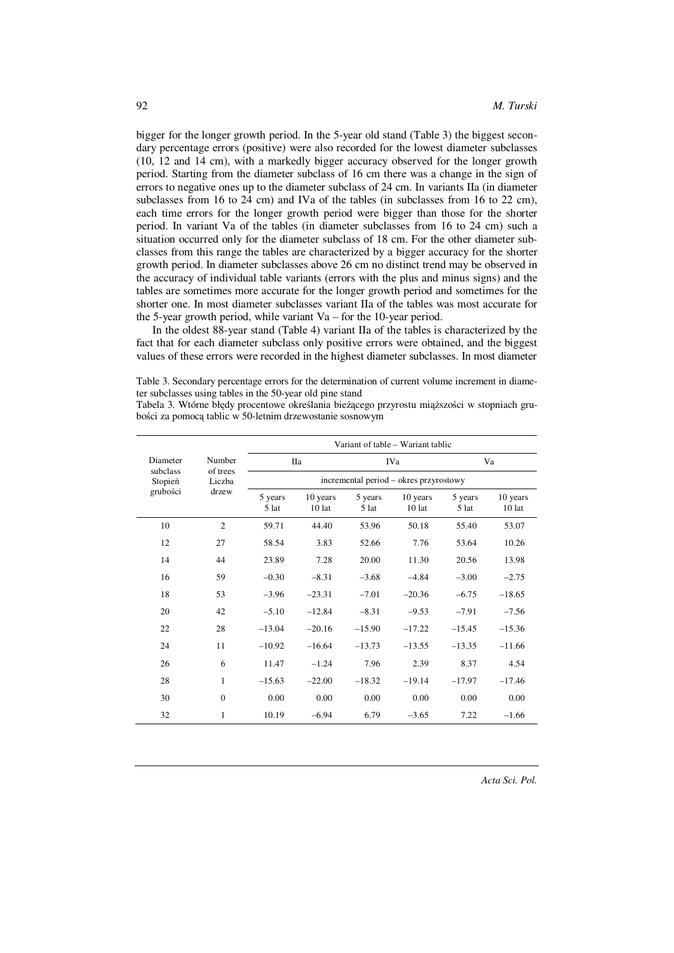bigger for the longer growth period. In the 5-year old stand (Table 3) the biggest secondary percentage errors (positive) were also recorded for the lowest diameter subclasses (10, 12 and 14 cm), with a markedly bigger accuracy observed for the longer growth period. Starting from the diameter subclass of 16 cm there was a change in the sign of errors to negative ones up to the diameter subclass of 24 cm. In variants IIa (in diameter subclasses from 16 to 24 cm) and IVa of the tables (in subclasses from 16 to 22 cm), each time errors for the longer growth period were bigger than those for the shorter period. In variant Va of the tables (in diameter subclasses from 16 to 24 cm) such a situation occurred only for the diameter subclass of 18 cm. For the other diameter subclasses from this range the tables are characterized by a bigger accuracy for the shorter growth period. In diameter subclasses above 26 cm no distinct trend may be observed in the accuracy of individual table variants (errors with the plus and minus signs) and the tables are sometimes more accurate for the longer growth period and sometimes for the shorter one. In most diameter subclasses variant IIa of the tables was most accurate for the 5-year growth period, while variant Va – for the 10-year period.

In the oldest 88-year stand (Table 4) variant IIa of the tables is characterized by the fact that for each diameter subclass only positive errors were obtained, and the biggest values of these errors were recorded in the highest diameter subclasses. In most diameter

Table 3. Secondary percentage errors for the determination of current volume increment in diameter subclasses using tables in the 50-year old pine stand

Tabela 3. Wtórne błędy procentowe określania bieżącego przyrostu miąższości w stopniach grubości za pomocą tablic w 50-letnim drzewostanie sosnowym

|                      |                    | Variant of table – Wariant tablic      |                      |                  |                      |                    |                    |  |  |
|----------------------|--------------------|----------------------------------------|----------------------|------------------|----------------------|--------------------|--------------------|--|--|
| Diameter<br>subclass | Number<br>of trees | <b>IIa</b>                             |                      | <b>IVa</b>       |                      | Va                 |                    |  |  |
| Stopień<br>grubości  | Liczba<br>drzew    | incremental period – okres przyrostowy |                      |                  |                      |                    |                    |  |  |
|                      |                    | 5 years<br>5 lat                       | 10 years<br>$10$ lat | 5 years<br>5 lat | 10 years<br>$10$ lat | 5 years<br>$5$ lat | 10 years<br>10 lat |  |  |
| 10                   | $\overline{2}$     | 59.71                                  | 44.40                | 53.96            | 50.18                | 55.40              | 53.07              |  |  |
| 12                   | 27                 | 58.54                                  | 3.83                 | 52.66            | 7.76                 | 53.64              | 10.26              |  |  |
| 14                   | 44                 | 23.89                                  | 7.28                 | 20.00            | 11.30                | 20.56              | 13.98              |  |  |
| 16                   | 59                 | $-0.30$                                | $-8.31$              | $-3.68$          | $-4.84$              | $-3.00$            | $-2.75$            |  |  |
| 18                   | 53                 | $-3.96$                                | $-23.31$             | $-7.01$          | $-20.36$             | $-6.75$            | $-18.65$           |  |  |
| 20                   | 42                 | $-5.10$                                | $-12.84$             | $-8.31$          | $-9.53$              | $-7.91$            | $-7.56$            |  |  |
| 22                   | 28                 | $-13.04$                               | $-20.16$             | $-15.90$         | $-17.22$             | $-15.45$           | $-15.36$           |  |  |
| 24                   | 11                 | $-10.92$                               | $-16.64$             | $-13.73$         | $-13.55$             | $-13.35$           | $-11.66$           |  |  |
| 26                   | 6                  | 11.47                                  | $-1.24$              | 7.96             | 2.39                 | 8.37               | 4.54               |  |  |
| 28                   | $\mathbf{1}$       | $-15.63$                               | $-22.00$             | $-18.32$         | $-19.14$             | $-17.97$           | $-17.46$           |  |  |
| 30                   | $\boldsymbol{0}$   | 0.00                                   | 0.00                 | 0.00             | 0.00                 | 0.00               | 0.00               |  |  |
| 32                   | 1                  | 10.19                                  | $-6.94$              | 6.79             | $-3.65$              | 7.22               | $-1.66$            |  |  |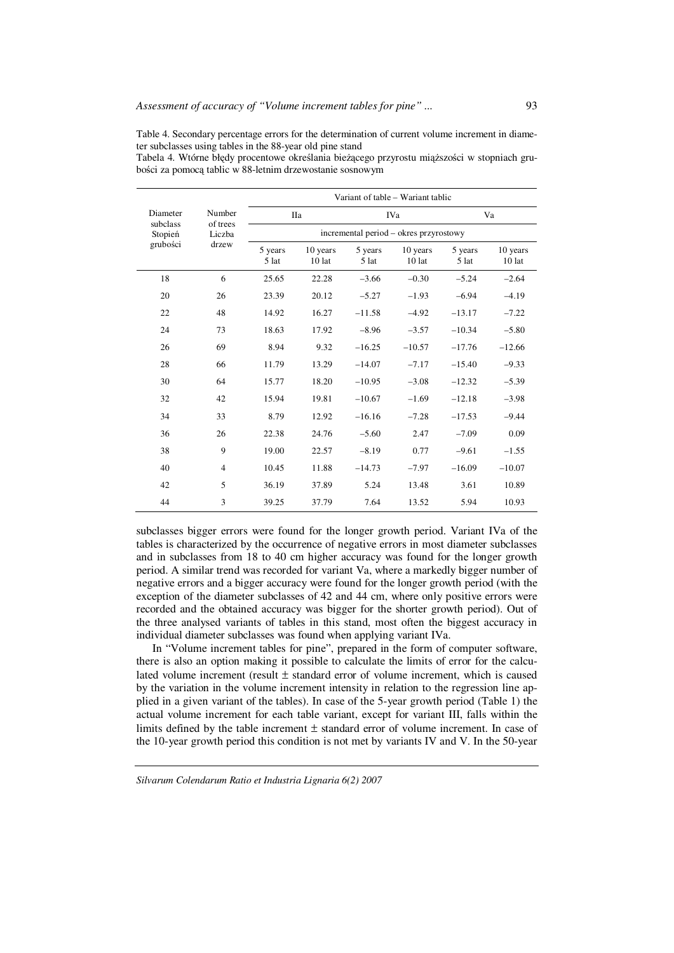Table 4. Secondary percentage errors for the determination of current volume increment in diameter subclasses using tables in the 88-year old pine stand

Tabela 4. Wtórne błędy procentowe określania bieżącego przyrostu miąższości w stopniach grubości za pomocą tablic w 88-letnim drzewostanie sosnowym

|                                 | Number<br>of trees<br>Liczba<br>drzew | Variant of table - Wariant tablic      |                    |                  |                      |                  |                    |  |  |
|---------------------------------|---------------------------------------|----------------------------------------|--------------------|------------------|----------------------|------------------|--------------------|--|--|
| Diameter                        |                                       |                                        | IIa                | <b>IVa</b>       |                      | Va               |                    |  |  |
| subclass<br>Stopień<br>grubości |                                       | incremental period – okres przyrostowy |                    |                  |                      |                  |                    |  |  |
|                                 |                                       | 5 years<br>5 lat                       | 10 years<br>10 lat | 5 years<br>5 lat | 10 years<br>$10$ lat | 5 years<br>5 lat | 10 years<br>10 lat |  |  |
| 18                              | 6                                     | 25.65                                  | 22.28              | $-3.66$          | $-0.30$              | $-5.24$          | $-2.64$            |  |  |
| 20                              | 26                                    | 23.39                                  | 20.12              | $-5.27$          | $-1.93$              | $-6.94$          | $-4.19$            |  |  |
| 22                              | 48                                    | 14.92                                  | 16.27              | $-11.58$         | $-4.92$              | $-13.17$         | $-7.22$            |  |  |
| 24                              | 73                                    | 18.63                                  | 17.92              | $-8.96$          | $-3.57$              | $-10.34$         | $-5.80$            |  |  |
| 26                              | 69                                    | 8.94                                   | 9.32               | $-16.25$         | $-10.57$             | $-17.76$         | $-12.66$           |  |  |
| 28                              | 66                                    | 11.79                                  | 13.29              | $-14.07$         | $-7.17$              | $-15.40$         | $-9.33$            |  |  |
| 30                              | 64                                    | 15.77                                  | 18.20              | $-10.95$         | $-3.08$              | $-12.32$         | $-5.39$            |  |  |
| 32                              | 42                                    | 15.94                                  | 19.81              | $-10.67$         | $-1.69$              | $-12.18$         | $-3.98$            |  |  |
| 34                              | 33                                    | 8.79                                   | 12.92              | $-16.16$         | $-7.28$              | $-17.53$         | $-9.44$            |  |  |
| 36                              | 26                                    | 22.38                                  | 24.76              | $-5.60$          | 2.47                 | $-7.09$          | 0.09               |  |  |
| 38                              | 9                                     | 19.00                                  | 22.57              | $-8.19$          | 0.77                 | $-9.61$          | $-1.55$            |  |  |
| 40                              | 4                                     | 10.45                                  | 11.88              | $-14.73$         | $-7.97$              | $-16.09$         | $-10.07$           |  |  |
| 42                              | 5                                     | 36.19                                  | 37.89              | 5.24             | 13.48                | 3.61             | 10.89              |  |  |
| 44                              | 3                                     | 39.25                                  | 37.79              | 7.64             | 13.52                | 5.94             | 10.93              |  |  |

subclasses bigger errors were found for the longer growth period. Variant IVa of the tables is characterized by the occurrence of negative errors in most diameter subclasses and in subclasses from 18 to 40 cm higher accuracy was found for the longer growth period. A similar trend was recorded for variant Va, where a markedly bigger number of negative errors and a bigger accuracy were found for the longer growth period (with the exception of the diameter subclasses of 42 and 44 cm, where only positive errors were recorded and the obtained accuracy was bigger for the shorter growth period). Out of the three analysed variants of tables in this stand, most often the biggest accuracy in individual diameter subclasses was found when applying variant IVa.

In "Volume increment tables for pine", prepared in the form of computer software, there is also an option making it possible to calculate the limits of error for the calculated volume increment (result ± standard error of volume increment, which is caused by the variation in the volume increment intensity in relation to the regression line applied in a given variant of the tables). In case of the 5-year growth period (Table 1) the actual volume increment for each table variant, except for variant III, falls within the limits defined by the table increment ± standard error of volume increment. In case of the 10-year growth period this condition is not met by variants IV and V. In the 50-year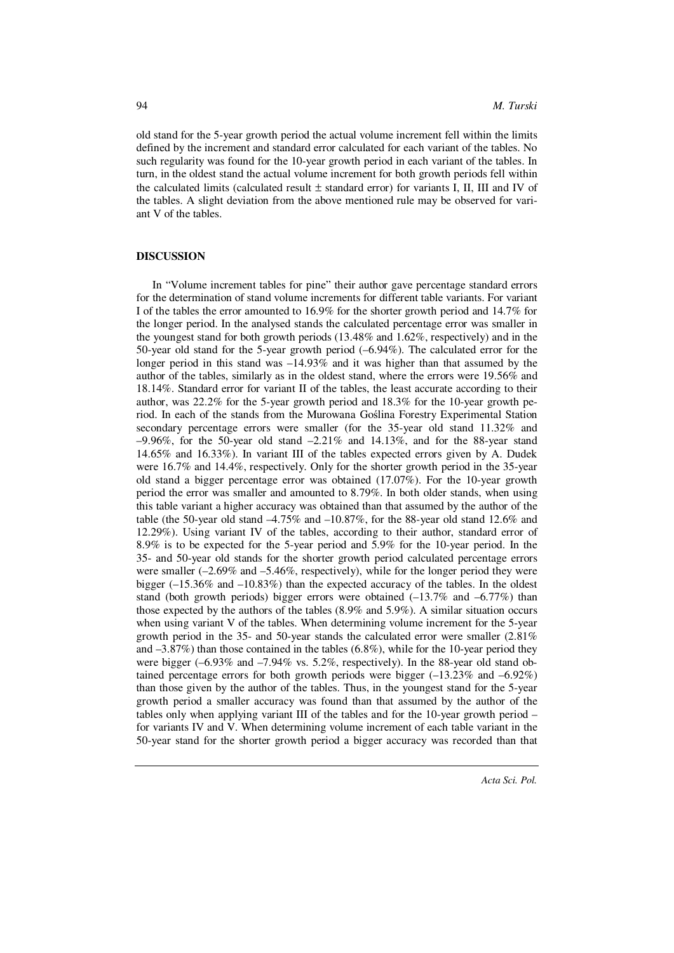old stand for the 5-year growth period the actual volume increment fell within the limits defined by the increment and standard error calculated for each variant of the tables. No such regularity was found for the 10-year growth period in each variant of the tables. In turn, in the oldest stand the actual volume increment for both growth periods fell within the calculated limits (calculated result  $\pm$  standard error) for variants I, II, III and IV of the tables. A slight deviation from the above mentioned rule may be observed for variant V of the tables.

#### **DISCUSSION**

In "Volume increment tables for pine" their author gave percentage standard errors for the determination of stand volume increments for different table variants. For variant I of the tables the error amounted to 16.9% for the shorter growth period and 14.7% for the longer period. In the analysed stands the calculated percentage error was smaller in the youngest stand for both growth periods (13.48% and 1.62%, respectively) and in the 50-year old stand for the 5-year growth period (–6.94%). The calculated error for the longer period in this stand was –14.93% and it was higher than that assumed by the author of the tables, similarly as in the oldest stand, where the errors were 19.56% and 18.14%. Standard error for variant II of the tables, the least accurate according to their author, was 22.2% for the 5-year growth period and 18.3% for the 10-year growth period. In each of the stands from the Murowana Goślina Forestry Experimental Station secondary percentage errors were smaller (for the 35-year old stand 11.32% and  $-9.96\%$ , for the 50-year old stand  $-2.21\%$  and 14.13%, and for the 88-year stand 14.65% and 16.33%). In variant III of the tables expected errors given by A. Dudek were 16.7% and 14.4%, respectively. Only for the shorter growth period in the 35-year old stand a bigger percentage error was obtained (17.07%). For the 10-year growth period the error was smaller and amounted to 8.79%. In both older stands, when using this table variant a higher accuracy was obtained than that assumed by the author of the table (the 50-year old stand –4.75% and –10.87%, for the 88-year old stand 12.6% and 12.29%). Using variant IV of the tables, according to their author, standard error of 8.9% is to be expected for the 5-year period and 5.9% for the 10-year period. In the 35- and 50-year old stands for the shorter growth period calculated percentage errors were smaller (–2.69% and –5.46%, respectively), while for the longer period they were bigger (–15.36% and –10.83%) than the expected accuracy of the tables. In the oldest stand (both growth periods) bigger errors were obtained  $(-13.7\%$  and  $-6.77\%)$  than those expected by the authors of the tables (8.9% and 5.9%). A similar situation occurs when using variant V of the tables. When determining volume increment for the 5-year growth period in the 35- and 50-year stands the calculated error were smaller (2.81% and –3.87%) than those contained in the tables (6.8%), while for the 10-year period they were bigger  $(-6.93\%$  and  $-7.94\%$  vs. 5.2%, respectively). In the 88-year old stand obtained percentage errors for both growth periods were bigger (–13.23% and –6.92%) than those given by the author of the tables. Thus, in the youngest stand for the 5-year growth period a smaller accuracy was found than that assumed by the author of the tables only when applying variant III of the tables and for the 10-year growth period – for variants IV and V. When determining volume increment of each table variant in the 50-year stand for the shorter growth period a bigger accuracy was recorded than that

*Acta Sci. Pol.*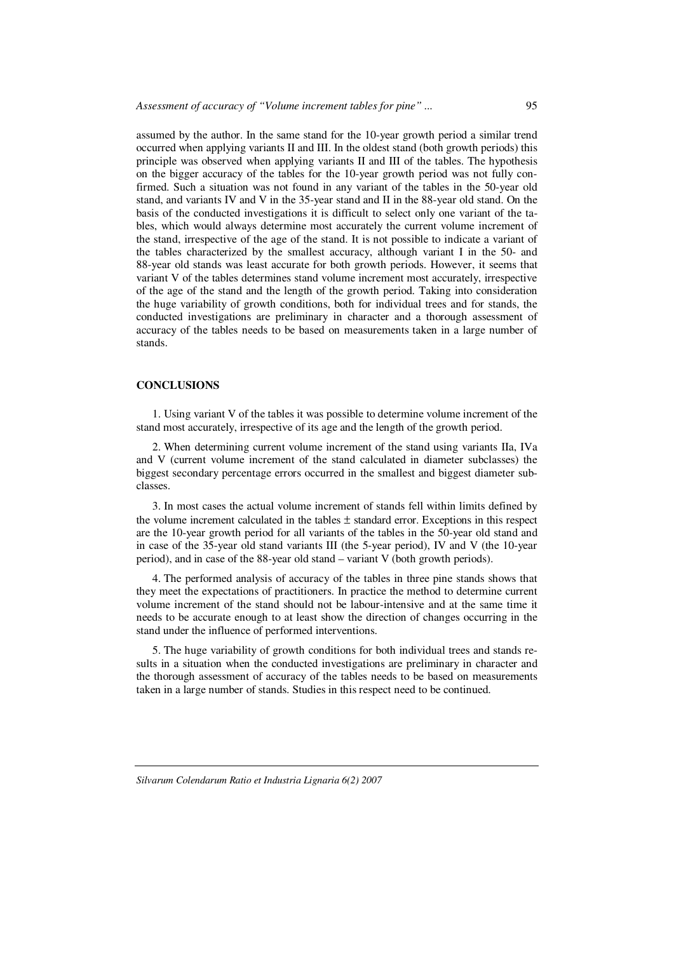assumed by the author. In the same stand for the 10-year growth period a similar trend occurred when applying variants II and III. In the oldest stand (both growth periods) this principle was observed when applying variants II and III of the tables. The hypothesis on the bigger accuracy of the tables for the 10-year growth period was not fully confirmed. Such a situation was not found in any variant of the tables in the 50-year old stand, and variants IV and V in the 35-year stand and II in the 88-year old stand. On the basis of the conducted investigations it is difficult to select only one variant of the tables, which would always determine most accurately the current volume increment of the stand, irrespective of the age of the stand. It is not possible to indicate a variant of the tables characterized by the smallest accuracy, although variant I in the 50- and 88-year old stands was least accurate for both growth periods. However, it seems that variant V of the tables determines stand volume increment most accurately, irrespective of the age of the stand and the length of the growth period. Taking into consideration the huge variability of growth conditions, both for individual trees and for stands, the conducted investigations are preliminary in character and a thorough assessment of accuracy of the tables needs to be based on measurements taken in a large number of stands.

#### **CONCLUSIONS**

1. Using variant V of the tables it was possible to determine volume increment of the stand most accurately, irrespective of its age and the length of the growth period.

2. When determining current volume increment of the stand using variants IIa, IVa and V (current volume increment of the stand calculated in diameter subclasses) the biggest secondary percentage errors occurred in the smallest and biggest diameter subclasses.

3. In most cases the actual volume increment of stands fell within limits defined by the volume increment calculated in the tables  $\pm$  standard error. Exceptions in this respect are the 10-year growth period for all variants of the tables in the 50-year old stand and in case of the 35-year old stand variants III (the 5-year period), IV and V (the 10-year period), and in case of the 88-year old stand – variant V (both growth periods).

4. The performed analysis of accuracy of the tables in three pine stands shows that they meet the expectations of practitioners. In practice the method to determine current volume increment of the stand should not be labour-intensive and at the same time it needs to be accurate enough to at least show the direction of changes occurring in the stand under the influence of performed interventions.

5. The huge variability of growth conditions for both individual trees and stands results in a situation when the conducted investigations are preliminary in character and the thorough assessment of accuracy of the tables needs to be based on measurements taken in a large number of stands. Studies in this respect need to be continued.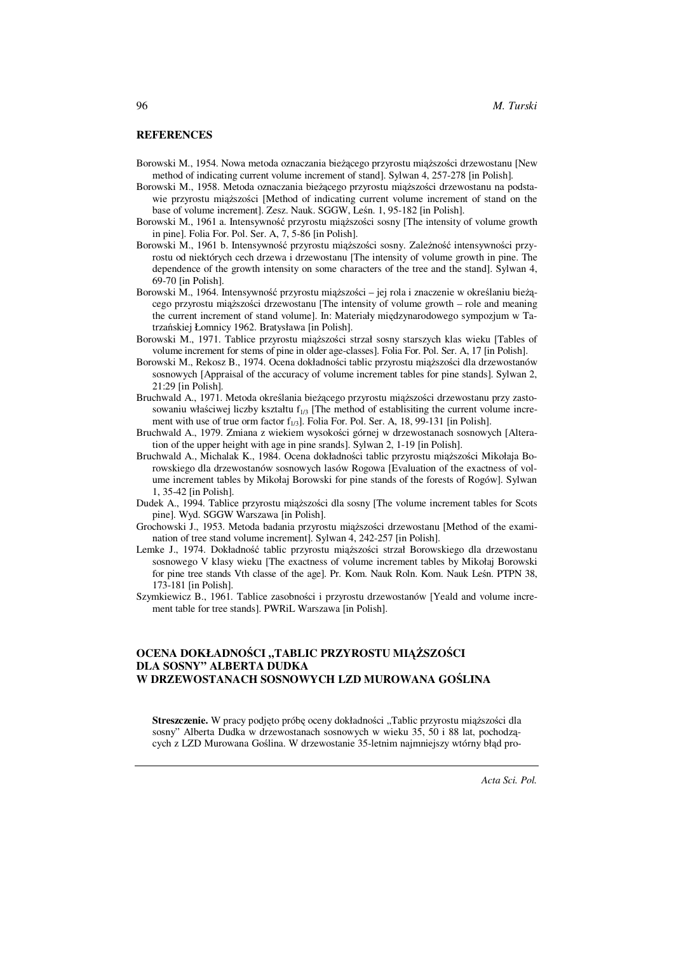#### **REFERENCES**

- Borowski M., 1954. Nowa metoda oznaczania bieżącego przyrostu miąższości drzewostanu [New method of indicating current volume increment of stand]. Sylwan 4, 257-278 [in Polish].
- Borowski M., 1958. Metoda oznaczania bieżącego przyrostu miąższości drzewostanu na podstawie przyrostu miąższości [Method of indicating current volume increment of stand on the base of volume increment]. Zesz. Nauk. SGGW, Leśn. 1, 95-182 [in Polish].
- Borowski M., 1961 a. Intensywność przyrostu miąższości sosny [The intensity of volume growth in pine]. Folia For. Pol. Ser. A, 7, 5-86 [in Polish].
- Borowski M., 1961 b. Intensywność przyrostu miąższości sosny. Zależność intensywności przyrostu od niektórych cech drzewa i drzewostanu [The intensity of volume growth in pine. The dependence of the growth intensity on some characters of the tree and the stand]. Sylwan 4, 69-70 [in Polish].
- Borowski M., 1964. Intensywność przyrostu miąższości jej rola i znaczenie w określaniu bieżącego przyrostu miąższości drzewostanu [The intensity of volume growth – role and meaning the current increment of stand volume]. In: Materiały międzynarodowego sympozjum w Tatrzańskiej Łomnicy 1962. Bratysława [in Polish].
- Borowski M., 1971. Tablice przyrostu miąższości strzał sosny starszych klas wieku [Tables of volume increment for stems of pine in older age-classes]. Folia For. Pol. Ser. A, 17 [in Polish].
- Borowski M., Rekosz B., 1974. Ocena dokładności tablic przyrostu miąższości dla drzewostanów sosnowych [Appraisal of the accuracy of volume increment tables for pine stands]. Sylwan 2, 21:29 [in Polish].
- Bruchwald A., 1971. Metoda określania bieżącego przyrostu miąższości drzewostanu przy zastosowaniu właściwej liczby kształtu  $f_{1/3}$  [The method of establisiting the current volume increment with use of true orm factor  $f_{1/3}$ . Folia For. Pol. Ser. A, 18, 99-131 [in Polish].
- Bruchwald A., 1979. Zmiana z wiekiem wysokości górnej w drzewostanach sosnowych [Alteration of the upper height with age in pine srands]. Sylwan 2, 1-19 [in Polish].
- Bruchwald A., Michalak K., 1984. Ocena dokładności tablic przyrostu miąższości Mikołaja Borowskiego dla drzewostanów sosnowych lasów Rogowa [Evaluation of the exactness of volume increment tables by Mikołaj Borowski for pine stands of the forests of Rogów]. Sylwan 1, 35-42 [in Polish].
- Dudek A., 1994. Tablice przyrostu miąższości dla sosny [The volume increment tables for Scots pine]. Wyd. SGGW Warszawa [in Polish].
- Grochowski J., 1953. Metoda badania przyrostu miąższości drzewostanu [Method of the examination of tree stand volume increment]. Sylwan 4, 242-257 [in Polish].
- Lemke J., 1974. Dokładność tablic przyrostu miąższości strzał Borowskiego dla drzewostanu sosnowego V klasy wieku [The exactness of volume increment tables by Mikołaj Borowski for pine tree stands Vth classe of the age]. Pr. Kom. Nauk Roln. Kom. Nauk Leśn. PTPN 38, 173-181 [in Polish].
- Szymkiewicz B., 1961. Tablice zasobności i przyrostu drzewostanów [Yeald and volume increment table for tree stands]. PWRiL Warszawa [in Polish].

### **OCENA DOKŁADNO**Ś**CI "TABLIC PRZYROSTU MI**ĄŻ**SZO**Ś**CI DLA SOSNY" ALBERTA DUDKA W DRZEWOSTANACH SOSNOWYCH LZD MUROWANA GO**Ś**LINA**

Streszczenie. W pracy podjęto próbę oceny dokładności "Tablic przyrostu miąższości dla sosny" Alberta Dudka w drzewostanach sosnowych w wieku 35, 50 i 88 lat, pochodzących z LZD Murowana Goślina. W drzewostanie 35-letnim najmniejszy wtórny błąd pro